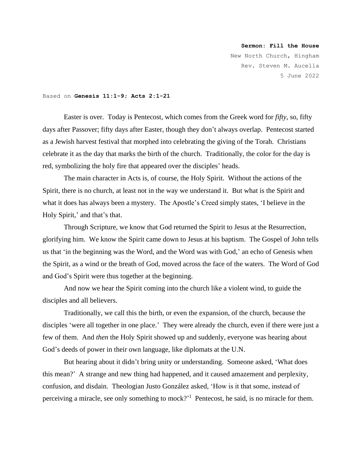## **Sermon: Fill the House**

New North Church, Hingham Rev. Steven M. Aucella 5 June 2022

## Based on **Genesis 11:1-9; Acts 2:1-21**

Easter is over. Today is Pentecost, which comes from the Greek word for *fifty*, so, fifty days after Passover; fifty days after Easter, though they don't always overlap. Pentecost started as a Jewish harvest festival that morphed into celebrating the giving of the Torah. Christians celebrate it as the day that marks the birth of the church. Traditionally, the color for the day is red, symbolizing the holy fire that appeared over the disciples' heads.

The main character in Acts is, of course, the Holy Spirit. Without the actions of the Spirit, there is no church, at least not in the way we understand it. But what is the Spirit and what it does has always been a mystery. The Apostle's Creed simply states, 'I believe in the Holy Spirit,' and that's that.

Through Scripture, we know that God returned the Spirit to Jesus at the Resurrection, glorifying him. We know the Spirit came down to Jesus at his baptism. The Gospel of John tells us that 'in the beginning was the Word, and the Word was with God,' an echo of Genesis when the Spirit, as a wind or the breath of God, moved across the face of the waters. The Word of God and God's Spirit were thus together at the beginning.

And now we hear the Spirit coming into the church like a violent wind, to guide the disciples and all believers.

Traditionally, we call this the birth, or even the expansion, of the church, because the disciples 'were all together in one place.' They were already the church, even if there were just a few of them. And *then* the Holy Spirit showed up and suddenly, everyone was hearing about God's deeds of power in their own language, like diplomats at the U.N.

But hearing about it didn't bring unity or understanding. Someone asked, 'What does this mean?' A strange and new thing had happened, and it caused amazement and perplexity, confusion, and disdain. Theologian Justo González asked, 'How is it that some, instead of perceiving a miracle, see only something to mock?<sup>1</sup> Pentecost, he said, is no miracle for them.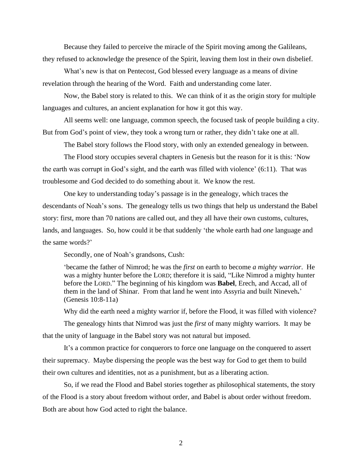Because they failed to perceive the miracle of the Spirit moving among the Galileans, they refused to acknowledge the presence of the Spirit, leaving them lost in their own disbelief.

What's new is that on Pentecost, God blessed every language as a means of divine revelation through the hearing of the Word. Faith and understanding come later.

Now, the Babel story is related to this. We can think of it as the origin story for multiple languages and cultures, an ancient explanation for how it got this way.

All seems well: one language, common speech, the focused task of people building a city. But from God's point of view, they took a wrong turn or rather, they didn't take one at all.

The Babel story follows the Flood story, with only an extended genealogy in between.

The Flood story occupies several chapters in Genesis but the reason for it is this: 'Now the earth was corrupt in God's sight, and the earth was filled with violence' (6:11). That was troublesome and God decided to do something about it. We know the rest.

One key to understanding today's passage is in the genealogy, which traces the descendants of Noah's sons. The genealogy tells us two things that help us understand the Babel story: first, more than 70 nations are called out, and they all have their own customs, cultures, lands, and languages. So, how could it be that suddenly 'the whole earth had *one* language and the same words?'

Secondly, one of Noah's grandsons, Cush:

'became the father of Nimrod; he was the *first* on earth to become *a mighty warrior*. He was a mighty hunter before the LORD; therefore it is said, "Like Nimrod a mighty hunter before the LORD." The beginning of his kingdom was **Babel**, Erech, and Accad, all of them in the land of Shinar. From that land he went into Assyria and built Nineveh**.**' (Genesis 10:8-11a)

Why did the earth need a mighty warrior if, before the Flood, it was filled with violence?

The genealogy hints that Nimrod was just the *first* of many mighty warriors. It may be that the unity of language in the Babel story was not natural but imposed.

It's a common practice for conquerors to force one language on the conquered to assert their supremacy. Maybe dispersing the people was the best way for God to get them to build their own cultures and identities, not as a punishment, but as a liberating action.

So, if we read the Flood and Babel stories together as philosophical statements, the story of the Flood is a story about freedom without order, and Babel is about order without freedom. Both are about how God acted to right the balance.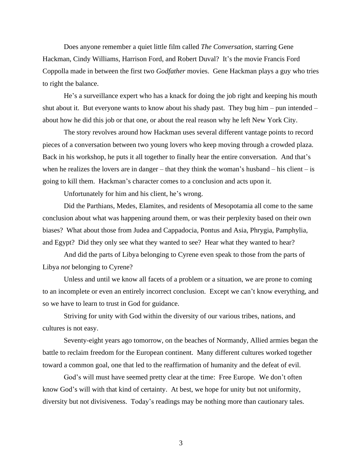Does anyone remember a quiet little film called *The Conversation*, starring Gene Hackman, Cindy Williams, Harrison Ford, and Robert Duval? It's the movie Francis Ford Coppolla made in between the first two *Godfather* movies. Gene Hackman plays a guy who tries to right the balance.

He's a surveillance expert who has a knack for doing the job right and keeping his mouth shut about it. But everyone wants to know about his shady past. They bug him – pun intended – about how he did this job or that one, or about the real reason why he left New York City.

The story revolves around how Hackman uses several different vantage points to record pieces of a conversation between two young lovers who keep moving through a crowded plaza. Back in his workshop, he puts it all together to finally hear the entire conversation. And that's when he realizes the lovers are in danger – that they think the woman's husband – his client – is going to kill them. Hackman's character comes to a conclusion and acts upon it.

Unfortunately for him and his client, he's wrong.

Did the Parthians, Medes, Elamites, and residents of Mesopotamia all come to the same conclusion about what was happening around them, or was their perplexity based on their own biases? What about those from Judea and Cappadocia, Pontus and Asia, Phrygia, Pamphylia, and Egypt? Did they only see what they wanted to see? Hear what they wanted to hear?

And did the parts of Libya belonging to Cyrene even speak to those from the parts of Libya *not* belonging to Cyrene?

Unless and until we know all facets of a problem or a situation, we are prone to coming to an incomplete or even an entirely incorrect conclusion. Except we can't know everything, and so we have to learn to trust in God for guidance.

Striving for unity with God within the diversity of our various tribes, nations, and cultures is not easy.

Seventy-eight years ago tomorrow, on the beaches of Normandy, Allied armies began the battle to reclaim freedom for the European continent. Many different cultures worked together toward a common goal, one that led to the reaffirmation of humanity and the defeat of evil.

God's will must have seemed pretty clear at the time: Free Europe. We don't often know God's will with that kind of certainty. At best, we hope for unity but not uniformity, diversity but not divisiveness. Today's readings may be nothing more than cautionary tales.

3